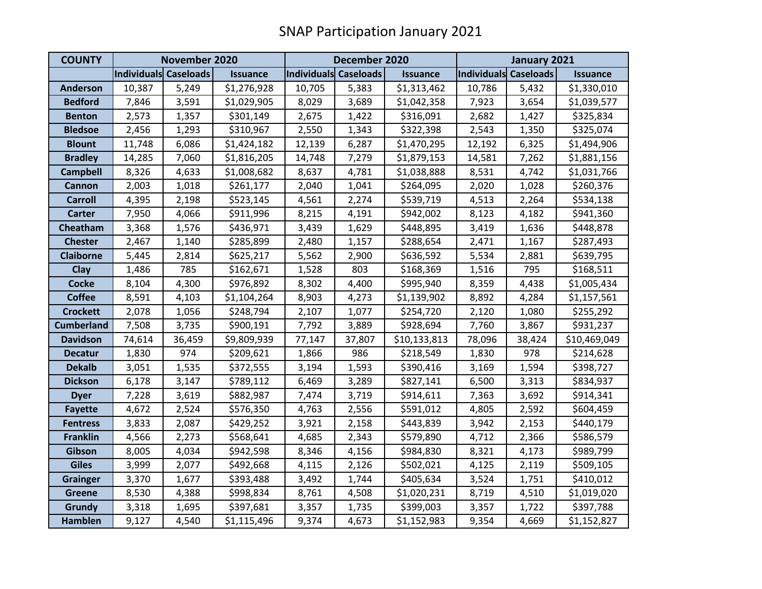| <b>COUNTY</b>     | November 2020         |        |                 | December 2020         |        |                 | January 2021          |        |                 |
|-------------------|-----------------------|--------|-----------------|-----------------------|--------|-----------------|-----------------------|--------|-----------------|
|                   | Individuals Caseloads |        | <b>Issuance</b> | Individuals Caseloads |        | <b>Issuance</b> | Individuals Caseloads |        | <b>Issuance</b> |
| <b>Anderson</b>   | 10,387                | 5,249  | \$1,276,928     | 10,705                | 5,383  | \$1,313,462     | 10,786                | 5,432  | \$1,330,010     |
| <b>Bedford</b>    | 7,846                 | 3,591  | \$1,029,905     | 8,029                 | 3,689  | \$1,042,358     | 7,923                 | 3,654  | \$1,039,577     |
| <b>Benton</b>     | 2,573                 | 1,357  | \$301,149       | 2,675                 | 1,422  | \$316,091       | 2,682                 | 1,427  | \$325,834       |
| <b>Bledsoe</b>    | 2,456                 | 1,293  | \$310,967       | 2,550                 | 1,343  | \$322,398       | 2,543                 | 1,350  | \$325,074       |
| <b>Blount</b>     | 11,748                | 6,086  | \$1,424,182     | 12,139                | 6,287  | \$1,470,295     | 12,192                | 6,325  | \$1,494,906     |
| <b>Bradley</b>    | 14,285                | 7,060  | \$1,816,205     | 14,748                | 7,279  | \$1,879,153     | 14,581                | 7,262  | \$1,881,156     |
| <b>Campbell</b>   | 8,326                 | 4,633  | \$1,008,682     | 8,637                 | 4,781  | \$1,038,888     | 8,531                 | 4,742  | \$1,031,766     |
| <b>Cannon</b>     | 2,003                 | 1,018  | \$261,177       | 2,040                 | 1,041  | \$264,095       | 2,020                 | 1,028  | \$260,376       |
| <b>Carroll</b>    | 4,395                 | 2,198  | \$523,145       | 4,561                 | 2,274  | \$539,719       | 4,513                 | 2,264  | \$534,138       |
| <b>Carter</b>     | 7,950                 | 4,066  | \$911,996       | 8,215                 | 4,191  | \$942,002       | 8,123                 | 4,182  | \$941,360       |
| <b>Cheatham</b>   | 3,368                 | 1,576  | \$436,971       | 3,439                 | 1,629  | \$448,895       | 3,419                 | 1,636  | \$448,878       |
| <b>Chester</b>    | 2,467                 | 1,140  | \$285,899       | 2,480                 | 1,157  | \$288,654       | 2,471                 | 1,167  | \$287,493       |
| <b>Claiborne</b>  | 5,445                 | 2,814  | \$625,217       | 5,562                 | 2,900  | \$636,592       | 5,534                 | 2,881  | \$639,795       |
| Clay              | 1,486                 | 785    | \$162,671       | 1,528                 | 803    | \$168,369       | 1,516                 | 795    | \$168,511       |
| <b>Cocke</b>      | 8,104                 | 4,300  | \$976,892       | 8,302                 | 4,400  | \$995,940       | 8,359                 | 4,438  | \$1,005,434     |
| <b>Coffee</b>     | 8,591                 | 4,103  | \$1,104,264     | 8,903                 | 4,273  | \$1,139,902     | 8,892                 | 4,284  | \$1,157,561     |
| <b>Crockett</b>   | 2,078                 | 1,056  | \$248,794       | 2,107                 | 1,077  | \$254,720       | 2,120                 | 1,080  | \$255,292       |
| <b>Cumberland</b> | 7,508                 | 3,735  | \$900,191       | 7,792                 | 3,889  | \$928,694       | 7,760                 | 3,867  | \$931,237       |
| <b>Davidson</b>   | 74,614                | 36,459 | \$9,809,939     | 77,147                | 37,807 | \$10,133,813    | 78,096                | 38,424 | \$10,469,049    |
| <b>Decatur</b>    | 1,830                 | 974    | \$209,621       | 1,866                 | 986    | \$218,549       | 1,830                 | 978    | \$214,628       |
| <b>Dekalb</b>     | 3,051                 | 1,535  | \$372,555       | 3,194                 | 1,593  | \$390,416       | 3,169                 | 1,594  | \$398,727       |
| <b>Dickson</b>    | 6,178                 | 3,147  | \$789,112       | 6,469                 | 3,289  | \$827,141       | 6,500                 | 3,313  | \$834,937       |
| <b>Dyer</b>       | 7,228                 | 3,619  | \$882,987       | 7,474                 | 3,719  | \$914,611       | 7,363                 | 3,692  | \$914,341       |
| <b>Fayette</b>    | 4,672                 | 2,524  | \$576,350       | 4,763                 | 2,556  | \$591,012       | 4,805                 | 2,592  | \$604,459       |
| <b>Fentress</b>   | 3,833                 | 2,087  | \$429,252       | 3,921                 | 2,158  | \$443,839       | 3,942                 | 2,153  | \$440,179       |
| <b>Franklin</b>   | 4,566                 | 2,273  | \$568,641       | 4,685                 | 2,343  | \$579,890       | 4,712                 | 2,366  | \$586,579       |
| Gibson            | 8,005                 | 4,034  | \$942,598       | 8,346                 | 4,156  | \$984,830       | 8,321                 | 4,173  | \$989,799       |
| <b>Giles</b>      | 3,999                 | 2,077  | \$492,668       | 4,115                 | 2,126  | \$502,021       | 4,125                 | 2,119  | \$509,105       |
| <b>Grainger</b>   | 3,370                 | 1,677  | \$393,488       | 3,492                 | 1,744  | \$405,634       | 3,524                 | 1,751  | \$410,012       |
| <b>Greene</b>     | 8,530                 | 4,388  | \$998,834       | 8,761                 | 4,508  | \$1,020,231     | 8,719                 | 4,510  | \$1,019,020     |
| <b>Grundy</b>     | 3,318                 | 1,695  | \$397,681       | 3,357                 | 1,735  | \$399,003       | 3,357                 | 1,722  | \$397,788       |
| <b>Hamblen</b>    | 9,127                 | 4,540  | \$1,115,496     | 9,374                 | 4,673  | \$1,152,983     | 9,354                 | 4,669  | \$1,152,827     |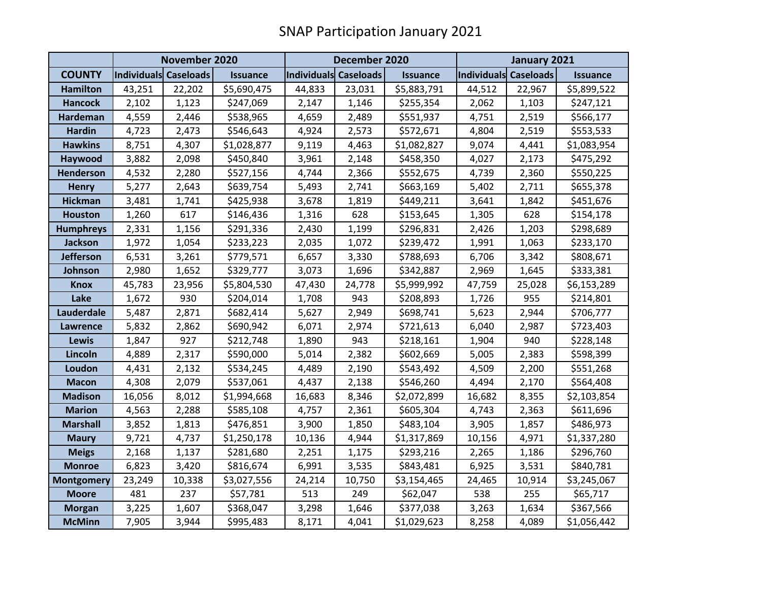|                   | November 2020                |        |                 | December 2020         |        |                 | January 2021          |        |                 |
|-------------------|------------------------------|--------|-----------------|-----------------------|--------|-----------------|-----------------------|--------|-----------------|
| <b>COUNTY</b>     | <b>Individuals Caseloads</b> |        | <b>Issuance</b> | Individuals Caseloads |        | <b>Issuance</b> | Individuals Caseloads |        | <b>Issuance</b> |
| <b>Hamilton</b>   | 43,251                       | 22,202 | \$5,690,475     | 44,833                | 23,031 | \$5,883,791     | 44,512                | 22,967 | \$5,899,522     |
| <b>Hancock</b>    | 2,102                        | 1,123  | \$247,069       | 2,147                 | 1,146  | \$255,354       | 2,062                 | 1,103  | \$247,121       |
| <b>Hardeman</b>   | 4,559                        | 2,446  | \$538,965       | 4,659                 | 2,489  | \$551,937       | 4,751                 | 2,519  | \$566,177       |
| <b>Hardin</b>     | 4,723                        | 2,473  | \$546,643       | 4,924                 | 2,573  | \$572,671       | 4,804                 | 2,519  | \$553,533       |
| <b>Hawkins</b>    | 8,751                        | 4,307  | \$1,028,877     | 9,119                 | 4,463  | \$1,082,827     | 9,074                 | 4,441  | \$1,083,954     |
| Haywood           | 3,882                        | 2,098  | \$450,840       | 3,961                 | 2,148  | \$458,350       | 4,027                 | 2,173  | \$475,292       |
| <b>Henderson</b>  | 4,532                        | 2,280  | \$527,156       | 4,744                 | 2,366  | \$552,675       | 4,739                 | 2,360  | \$550,225       |
| <b>Henry</b>      | 5,277                        | 2,643  | \$639,754       | 5,493                 | 2,741  | \$663,169       | 5,402                 | 2,711  | \$655,378       |
| <b>Hickman</b>    | 3,481                        | 1,741  | \$425,938       | 3,678                 | 1,819  | \$449,211       | 3,641                 | 1,842  | \$451,676       |
| <b>Houston</b>    | 1,260                        | 617    | \$146,436       | 1,316                 | 628    | \$153,645       | 1,305                 | 628    | \$154,178       |
| <b>Humphreys</b>  | 2,331                        | 1,156  | \$291,336       | 2,430                 | 1,199  | \$296,831       | 2,426                 | 1,203  | \$298,689       |
| <b>Jackson</b>    | 1,972                        | 1,054  | \$233,223       | 2,035                 | 1,072  | \$239,472       | 1,991                 | 1,063  | \$233,170       |
| Jefferson         | 6,531                        | 3,261  | \$779,571       | 6,657                 | 3,330  | \$788,693       | 6,706                 | 3,342  | \$808,671       |
| Johnson           | 2,980                        | 1,652  | \$329,777       | 3,073                 | 1,696  | \$342,887       | 2,969                 | 1,645  | \$333,381       |
| <b>Knox</b>       | 45,783                       | 23,956 | \$5,804,530     | 47,430                | 24,778 | \$5,999,992     | 47,759                | 25,028 | \$6,153,289     |
| Lake              | 1,672                        | 930    | \$204,014       | 1,708                 | 943    | \$208,893       | 1,726                 | 955    | \$214,801       |
| Lauderdale        | 5,487                        | 2,871  | \$682,414       | 5,627                 | 2,949  | \$698,741       | 5,623                 | 2,944  | \$706,777       |
| <b>Lawrence</b>   | 5,832                        | 2,862  | \$690,942       | 6,071                 | 2,974  | \$721,613       | 6,040                 | 2,987  | \$723,403       |
| <b>Lewis</b>      | 1,847                        | 927    | \$212,748       | 1,890                 | 943    | \$218,161       | 1,904                 | 940    | \$228,148       |
| Lincoln           | 4,889                        | 2,317  | \$590,000       | 5,014                 | 2,382  | \$602,669       | 5,005                 | 2,383  | \$598,399       |
| Loudon            | 4,431                        | 2,132  | \$534,245       | 4,489                 | 2,190  | \$543,492       | 4,509                 | 2,200  | \$551,268       |
| <b>Macon</b>      | 4,308                        | 2,079  | \$537,061       | 4,437                 | 2,138  | \$546,260       | 4,494                 | 2,170  | \$564,408       |
| <b>Madison</b>    | 16,056                       | 8,012  | \$1,994,668     | 16,683                | 8,346  | \$2,072,899     | 16,682                | 8,355  | \$2,103,854     |
| <b>Marion</b>     | 4,563                        | 2,288  | \$585,108       | 4,757                 | 2,361  | \$605,304       | 4,743                 | 2,363  | \$611,696       |
| <b>Marshall</b>   | 3,852                        | 1,813  | \$476,851       | 3,900                 | 1,850  | \$483,104       | 3,905                 | 1,857  | \$486,973       |
| <b>Maury</b>      | 9,721                        | 4,737  | \$1,250,178     | 10,136                | 4,944  | \$1,317,869     | 10,156                | 4,971  | \$1,337,280     |
| <b>Meigs</b>      | 2,168                        | 1,137  | \$281,680       | 2,251                 | 1,175  | \$293,216       | 2,265                 | 1,186  | \$296,760       |
| <b>Monroe</b>     | 6,823                        | 3,420  | \$816,674       | 6,991                 | 3,535  | \$843,481       | 6,925                 | 3,531  | \$840,781       |
| <b>Montgomery</b> | 23,249                       | 10,338 | \$3,027,556     | 24,214                | 10,750 | \$3,154,465     | 24,465                | 10,914 | \$3,245,067     |
| <b>Moore</b>      | 481                          | 237    | \$57,781        | 513                   | 249    | \$62,047        | 538                   | 255    | \$65,717        |
| <b>Morgan</b>     | 3,225                        | 1,607  | \$368,047       | 3,298                 | 1,646  | \$377,038       | 3,263                 | 1,634  | \$367,566       |
| <b>McMinn</b>     | 7,905                        | 3,944  | \$995,483       | 8,171                 | 4,041  | \$1,029,623     | 8,258                 | 4,089  | \$1,056,442     |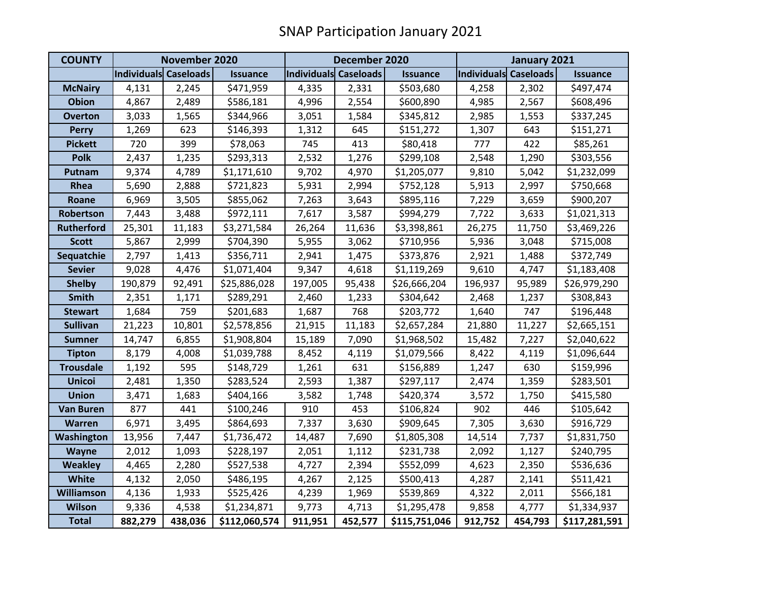| <b>COUNTY</b>     | November 2020         |         |                 | December 2020         |         |                 | January 2021          |         |                 |
|-------------------|-----------------------|---------|-----------------|-----------------------|---------|-----------------|-----------------------|---------|-----------------|
|                   | Individuals Caseloads |         | <b>Issuance</b> | Individuals Caseloads |         | <b>Issuance</b> | Individuals Caseloads |         | <b>Issuance</b> |
| <b>McNairy</b>    | 4,131                 | 2,245   | \$471,959       | 4,335                 | 2,331   | \$503,680       | 4,258                 | 2,302   | \$497,474       |
| <b>Obion</b>      | 4,867                 | 2,489   | \$586,181       | 4,996                 | 2,554   | \$600,890       | 4,985                 | 2,567   | \$608,496       |
| <b>Overton</b>    | 3,033                 | 1,565   | \$344,966       | 3,051                 | 1,584   | \$345,812       | 2,985                 | 1,553   | \$337,245       |
| <b>Perry</b>      | 1,269                 | 623     | \$146,393       | 1,312                 | 645     | \$151,272       | 1,307                 | 643     | \$151,271       |
| <b>Pickett</b>    | 720                   | 399     | \$78,063        | 745                   | 413     | \$80,418        | 777                   | 422     | \$85,261        |
| <b>Polk</b>       | 2,437                 | 1,235   | \$293,313       | 2,532                 | 1,276   | \$299,108       | 2,548                 | 1,290   | \$303,556       |
| Putnam            | 9,374                 | 4,789   | \$1,171,610     | 9,702                 | 4,970   | \$1,205,077     | 9,810                 | 5,042   | \$1,232,099     |
| Rhea              | 5,690                 | 2,888   | \$721,823       | 5,931                 | 2,994   | \$752,128       | 5,913                 | 2,997   | \$750,668       |
| Roane             | 6,969                 | 3,505   | \$855,062       | 7,263                 | 3,643   | \$895,116       | 7,229                 | 3,659   | \$900,207       |
| Robertson         | 7,443                 | 3,488   | \$972,111       | 7,617                 | 3,587   | \$994,279       | 7,722                 | 3,633   | \$1,021,313     |
| <b>Rutherford</b> | 25,301                | 11,183  | \$3,271,584     | 26,264                | 11,636  | \$3,398,861     | 26,275                | 11,750  | \$3,469,226     |
| <b>Scott</b>      | 5,867                 | 2,999   | \$704,390       | 5,955                 | 3,062   | \$710,956       | 5,936                 | 3,048   | \$715,008       |
| Sequatchie        | 2,797                 | 1,413   | \$356,711       | 2,941                 | 1,475   | \$373,876       | 2,921                 | 1,488   | \$372,749       |
| <b>Sevier</b>     | 9,028                 | 4,476   | \$1,071,404     | 9,347                 | 4,618   | \$1,119,269     | 9,610                 | 4,747   | \$1,183,408     |
| <b>Shelby</b>     | 190,879               | 92,491  | \$25,886,028    | 197,005               | 95,438  | \$26,666,204    | 196,937               | 95,989  | \$26,979,290    |
| <b>Smith</b>      | 2,351                 | 1,171   | \$289,291       | 2,460                 | 1,233   | \$304,642       | 2,468                 | 1,237   | \$308,843       |
| <b>Stewart</b>    | 1,684                 | 759     | \$201,683       | 1,687                 | 768     | \$203,772       | 1,640                 | 747     | \$196,448       |
| <b>Sullivan</b>   | 21,223                | 10,801  | \$2,578,856     | 21,915                | 11,183  | \$2,657,284     | 21,880                | 11,227  | \$2,665,151     |
| <b>Sumner</b>     | 14,747                | 6,855   | \$1,908,804     | 15,189                | 7,090   | \$1,968,502     | 15,482                | 7,227   | \$2,040,622     |
| <b>Tipton</b>     | 8,179                 | 4,008   | \$1,039,788     | 8,452                 | 4,119   | \$1,079,566     | 8,422                 | 4,119   | \$1,096,644     |
| <b>Trousdale</b>  | 1,192                 | 595     | \$148,729       | 1,261                 | 631     | \$156,889       | 1,247                 | 630     | \$159,996       |
| <b>Unicoi</b>     | 2,481                 | 1,350   | \$283,524       | 2,593                 | 1,387   | \$297,117       | 2,474                 | 1,359   | \$283,501       |
| <b>Union</b>      | 3,471                 | 1,683   | \$404,166       | 3,582                 | 1,748   | \$420,374       | 3,572                 | 1,750   | \$415,580       |
| <b>Van Buren</b>  | 877                   | 441     | \$100,246       | 910                   | 453     | \$106,824       | 902                   | 446     | \$105,642       |
| Warren            | 6,971                 | 3,495   | \$864,693       | 7,337                 | 3,630   | \$909,645       | 7,305                 | 3,630   | \$916,729       |
| Washington        | 13,956                | 7,447   | \$1,736,472     | 14,487                | 7,690   | \$1,805,308     | 14,514                | 7,737   | \$1,831,750     |
| Wayne             | 2,012                 | 1,093   | \$228,197       | 2,051                 | 1,112   | \$231,738       | 2,092                 | 1,127   | \$240,795       |
| <b>Weakley</b>    | 4,465                 | 2,280   | \$527,538       | 4,727                 | 2,394   | \$552,099       | 4,623                 | 2,350   | \$536,636       |
| <b>White</b>      | 4,132                 | 2,050   | \$486,195       | 4,267                 | 2,125   | \$500,413       | 4,287                 | 2,141   | \$511,421       |
| <b>Williamson</b> | 4,136                 | 1,933   | \$525,426       | 4,239                 | 1,969   | \$539,869       | 4,322                 | 2,011   | \$566,181       |
| <b>Wilson</b>     | 9,336                 | 4,538   | \$1,234,871     | 9,773                 | 4,713   | \$1,295,478     | 9,858                 | 4,777   | \$1,334,937     |
| <b>Total</b>      | 882,279               | 438,036 | \$112,060,574   | 911,951               | 452,577 | \$115,751,046   | 912,752               | 454,793 | \$117,281,591   |